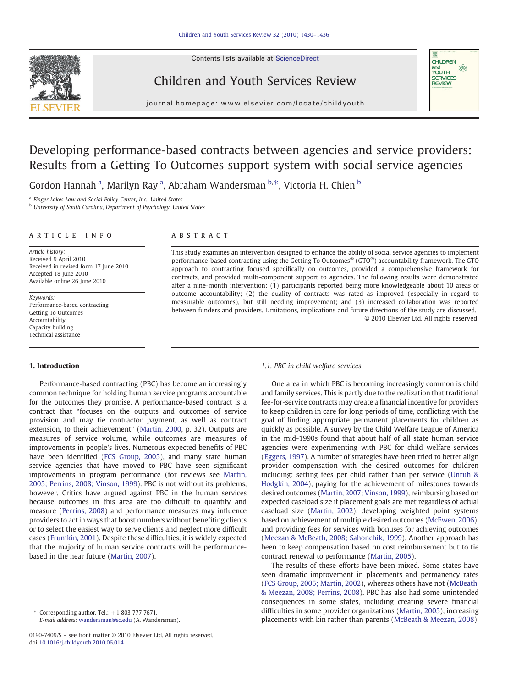Contents lists available at [ScienceDirect](http://www.sciencedirect.com/science/journal/01907409)







journal homepage: www.elsevier.com/locate/childyouth

# Developing performance-based contracts between agencies and service providers: Results from a Getting To Outcomes support system with social service agencies

Gordon Hannah <sup>a</sup>, Marilyn Ray <sup>a</sup>, Abraham Wandersman b.\*, Victoria H. Chien <sup>b</sup>

<sup>a</sup> Finger Lakes Law and Social Policy Center, Inc., United States

**b** University of South Carolina, Department of Psychology, United States

#### ARTICLE INFO ABSTRACT

Article history: Received 9 April 2010 Received in revised form 17 June 2010 Accepted 18 June 2010 Available online 26 June 2010

Keywords: Performance-based contracting Getting To Outcomes Accountability Capacity building Technical assistance

# 1. Introduction

Performance-based contracting (PBC) has become an increasingly common technique for holding human service programs accountable for the outcomes they promise. A performance-based contract is a contract that "focuses on the outputs and outcomes of service provision and may tie contractor payment, as well as contract extension, to their achievement" ([Martin, 2000](#page-6-0), p. 32). Outputs are measures of service volume, while outcomes are measures of improvements in people's lives. Numerous expected benefits of PBC have been identified [\(FCS Group, 2005\)](#page-6-0), and many state human service agencies that have moved to PBC have seen significant improvements in program performance (for reviews see [Martin,](#page-6-0) [2005; Perrins, 2008; Vinson, 1999\)](#page-6-0). PBC is not without its problems, however. Critics have argued against PBC in the human services because outcomes in this area are too difficult to quantify and measure ([Perrins, 2008\)](#page-6-0) and performance measures may influence providers to act in ways that boost numbers without benefiting clients or to select the easiest way to serve clients and neglect more difficult cases [\(Frumkin, 2001\)](#page-6-0). Despite these difficulties, it is widely expected that the majority of human service contracts will be performancebased in the near future ([Martin, 2007\)](#page-6-0).

This study examines an intervention designed to enhance the ability of social service agencies to implement performance-based contracting using the Getting To Outcomes® (GTO®) accountability framework. The GTO approach to contracting focused specifically on outcomes, provided a comprehensive framework for contracts, and provided multi-component support to agencies. The following results were demonstrated after a nine-month intervention: (1) participants reported being more knowledgeable about 10 areas of outcome accountability; (2) the quality of contracts was rated as improved (especially in regard to measurable outcomes), but still needing improvement; and (3) increased collaboration was reported between funders and providers. Limitations, implications and future directions of the study are discussed. © 2010 Elsevier Ltd. All rights reserved.

#### 1.1. PBC in child welfare services

One area in which PBC is becoming increasingly common is child and family services. This is partly due to the realization that traditional fee-for-service contracts may create a financial incentive for providers to keep children in care for long periods of time, conflicting with the goal of finding appropriate permanent placements for children as quickly as possible. A survey by the Child Welfare League of America in the mid-1990s found that about half of all state human service agencies were experimenting with PBC for child welfare services [\(Eggers, 1997](#page-6-0)). A number of strategies have been tried to better align provider compensation with the desired outcomes for children including: setting fees per child rather than per service [\(Unruh &](#page-6-0) [Hodgkin, 2004\)](#page-6-0), paying for the achievement of milestones towards desired outcomes [\(Martin, 2007; Vinson, 1999\)](#page-6-0), reimbursing based on expected caseload size if placement goals are met regardless of actual caseload size ([Martin, 2002\)](#page-6-0), developing weighted point systems based on achievement of multiple desired outcomes [\(McEwen, 2006](#page-6-0)), and providing fees for services with bonuses for achieving outcomes [\(Meezan & McBeath, 2008; Sahonchik, 1999](#page-6-0)). Another approach has been to keep compensation based on cost reimbursement but to tie contract renewal to performance ([Martin, 2005\)](#page-6-0).

The results of these efforts have been mixed. Some states have seen dramatic improvement in placements and permanency rates [\(FCS Group, 2005; Martin, 2002\)](#page-6-0), whereas others have not [\(McBeath,](#page-6-0) [& Meezan, 2008; Perrins, 2008](#page-6-0)). PBC has also had some unintended consequences in some states, including creating severe financial difficulties in some provider organizations [\(Martin, 2005](#page-6-0)), increasing placements with kin rather than parents [\(McBeath & Meezan, 2008](#page-6-0)),

 $*$  Corresponding author. Tel.:  $+18037777671$ . E-mail address: [wandersman@sc.edu](mailto:wandersman@sc.edu) (A. Wandersman).

<sup>0190-7409/\$</sup> – see front matter © 2010 Elsevier Ltd. All rights reserved. doi[:10.1016/j.childyouth.2010.06.014](http://dx.doi.org/10.1016/j.childyouth.2010.06.014)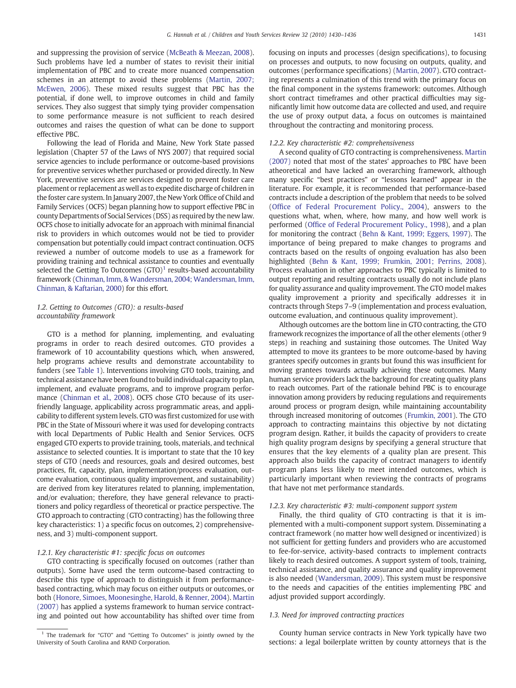and suppressing the provision of service ([McBeath & Meezan, 2008](#page-6-0)). Such problems have led a number of states to revisit their initial implementation of PBC and to create more nuanced compensation schemes in an attempt to avoid these problems [\(Martin, 2007;](#page-6-0) [McEwen, 2006](#page-6-0)). These mixed results suggest that PBC has the potential, if done well, to improve outcomes in child and family services. They also suggest that simply tying provider compensation to some performance measure is not sufficient to reach desired outcomes and raises the question of what can be done to support effective PBC.

Following the lead of Florida and Maine, New York State passed legislation (Chapter 57 of the Laws of NYS 2007) that required social service agencies to include performance or outcome-based provisions for preventive services whether purchased or provided directly. In New York, preventive services are services designed to prevent foster care placement or replacement as well as to expedite discharge of children in the foster care system. In January 2007, the New York Office of Child and Family Services (OCFS) began planning how to support effective PBC in county Departments of Social Services (DSS) as required by the new law. OCFS chose to initially advocate for an approach with minimal financial risk to providers in which outcomes would not be tied to provider compensation but potentially could impact contract continuation. OCFS reviewed a number of outcome models to use as a framework for providing training and technical assistance to counties and eventually selected the Getting To Outcomes  $(GTO)^1$  results-based accountability framework [\(Chinman, Imm, & Wandersman, 2004; Wandersman, Imm,](#page-6-0) [Chinman, & Kaftarian, 2000](#page-6-0)) for this effort.

# 1.2. Getting to Outcomes (GTO): a results-based accountability framework

GTO is a method for planning, implementing, and evaluating programs in order to reach desired outcomes. GTO provides a framework of 10 accountability questions which, when answered, help programs achieve results and demonstrate accountability to funders (see [Table 1](#page-5-0)). Interventions involving GTO tools, training, and technical assistance have been found to build individual capacity to plan, implement, and evaluate programs, and to improve program performance [\(Chinman et al., 2008](#page-6-0)). OCFS chose GTO because of its userfriendly language, applicability across programmatic areas, and applicability to different system levels. GTO was first customized for use with PBC in the State of Missouri where it was used for developing contracts with local Departments of Public Health and Senior Services. OCFS engaged GTO experts to provide training, tools, materials, and technical assistance to selected counties. It is important to state that the 10 key steps of GTO (needs and resources, goals and desired outcomes, best practices, fit, capacity, plan, implementation/process evaluation, outcome evaluation, continuous quality improvement, and sustainability) are derived from key literatures related to planning, implementation, and/or evaluation; therefore, they have general relevance to practitioners and policy regardless of theoretical or practice perspective. The GTO approach to contracting (GTO contracting) has the following three key characteristics: 1) a specific focus on outcomes, 2) comprehensiveness, and 3) multi-component support.

# 1.2.1. Key characteristic #1: specific focus on outcomes

GTO contracting is specifically focused on outcomes (rather than outputs). Some have used the term outcome-based contracting to describe this type of approach to distinguish it from performancebased contracting, which may focus on either outputs or outcomes, or both ([Honore, Simoes, Moonesinghe, Harold, & Renner, 2004\)](#page-6-0). [Martin](#page-6-0) [\(2007\)](#page-6-0) has applied a systems framework to human service contracting and pointed out how accountability has shifted over time from focusing on inputs and processes (design specifications), to focusing on processes and outputs, to now focusing on outputs, quality, and outcomes (performance specifications) [\(Martin, 2007\)](#page-6-0). GTO contracting represents a culmination of this trend with the primary focus on the final component in the systems framework: outcomes. Although short contract timeframes and other practical difficulties may significantly limit how outcome data are collected and used, and require the use of proxy output data, a focus on outcomes is maintained throughout the contracting and monitoring process.

# 1.2.2. Key characteristic #2: comprehensiveness

A second quality of GTO contracting is comprehensiveness. [Martin](#page-6-0) [\(2007\)](#page-6-0) noted that most of the states' approaches to PBC have been atheoretical and have lacked an overarching framework, although many specific "best practices" or "lessons learned" appear in the literature. For example, it is recommended that performance-based contracts include a description of the problem that needs to be solved (Offi[ce of Federal Procurement Policy., 2004\)](#page-6-0), answers to the questions what, when, where, how many, and how well work is performed (Offi[ce of Federal Procurement Policy., 1998](#page-6-0)), and a plan for monitoring the contract [\(Behn & Kant, 1999; Eggers, 1997](#page-6-0)). The importance of being prepared to make changes to programs and contracts based on the results of ongoing evaluation has also been highlighted ([Behn & Kant, 1999; Frumkin, 2001; Perrins, 2008](#page-6-0)). Process evaluation in other approaches to PBC typically is limited to output reporting and resulting contracts usually do not include plans for quality assurance and quality improvement. The GTO model makes quality improvement a priority and specifically addresses it in contracts through Steps 7–9 (implementation and process evaluation, outcome evaluation, and continuous quality improvement).

Although outcomes are the bottom line in GTO contracting, the GTO framework recognizes the importance of all the other elements (other 9 steps) in reaching and sustaining those outcomes. The United Way attempted to move its grantees to be more outcome-based by having grantees specify outcomes in grants but found this was insufficient for moving grantees towards actually achieving these outcomes. Many human service providers lack the background for creating quality plans to reach outcomes. Part of the rationale behind PBC is to encourage innovation among providers by reducing regulations and requirements around process or program design, while maintaining accountability through increased monitoring of outcomes ([Frumkin, 2001\)](#page-6-0). The GTO approach to contracting maintains this objective by not dictating program design. Rather, it builds the capacity of providers to create high quality program designs by specifying a general structure that ensures that the key elements of a quality plan are present. This approach also builds the capacity of contract managers to identify program plans less likely to meet intended outcomes, which is particularly important when reviewing the contracts of programs that have not met performance standards.

# 1.2.3. Key characteristic #3: multi-component support system

Finally, the third quality of GTO contracting is that it is implemented with a multi-component support system. Disseminating a contract framework (no matter how well designed or incentivized) is not sufficient for getting funders and providers who are accustomed to fee-for-service, activity-based contracts to implement contracts likely to reach desired outcomes. A support system of tools, training, technical assistance, and quality assurance and quality improvement is also needed [\(Wandersman, 2009\)](#page-6-0). This system must be responsive to the needs and capacities of the entities implementing PBC and adjust provided support accordingly.

#### 1.3. Need for improved contracting practices

County human service contracts in New York typically have two sections: a legal boilerplate written by county attorneys that is the

 $1$  The trademark for "GTO" and "Getting To Outcomes" is jointly owned by the University of South Carolina and RAND Corporation.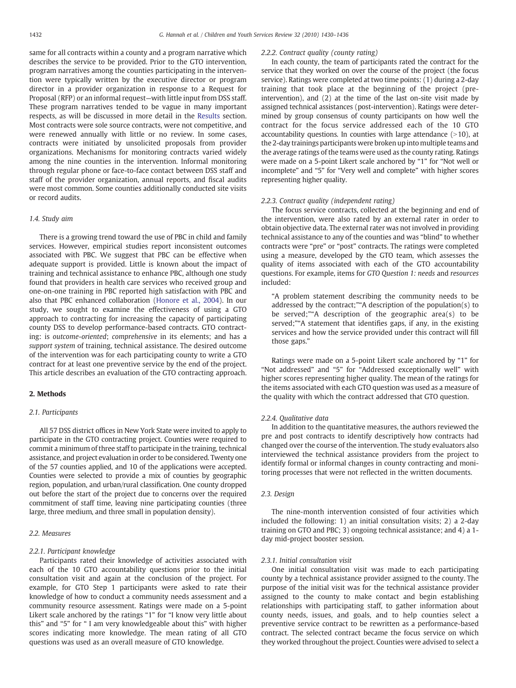same for all contracts within a county and a program narrative which describes the service to be provided. Prior to the GTO intervention, program narratives among the counties participating in the intervention were typically written by the executive director or program director in a provider organization in response to a Request for Proposal (RFP) or an informal request—with little input from DSS staff. These program narratives tended to be vague in many important respects, as will be discussed in more detail in the [Results](#page-3-0) section. Most contracts were sole source contracts, were not competitive, and were renewed annually with little or no review. In some cases, contracts were initiated by unsolicited proposals from provider organizations. Mechanisms for monitoring contracts varied widely among the nine counties in the intervention. Informal monitoring through regular phone or face-to-face contact between DSS staff and staff of the provider organization, annual reports, and fiscal audits were most common. Some counties additionally conducted site visits or record audits.

#### 1.4. Study aim

There is a growing trend toward the use of PBC in child and family services. However, empirical studies report inconsistent outcomes associated with PBC. We suggest that PBC can be effective when adequate support is provided. Little is known about the impact of training and technical assistance to enhance PBC, although one study found that providers in health care services who received group and one-on-one training in PBC reported high satisfaction with PBC and also that PBC enhanced collaboration [\(Honore et al., 2004\)](#page-6-0). In our study, we sought to examine the effectiveness of using a GTO approach to contracting for increasing the capacity of participating county DSS to develop performance-based contracts. GTO contracting: is outcome-oriented; comprehensive in its elements; and has a support system of training, technical assistance. The desired outcome of the intervention was for each participating county to write a GTO contract for at least one preventive service by the end of the project. This article describes an evaluation of the GTO contracting approach.

# 2. Methods

#### 2.1. Participants

All 57 DSS district offices in New York State were invited to apply to participate in the GTO contracting project. Counties were required to commit a minimum of three staff to participate in the training, technical assistance, and project evaluation in order to be considered. Twenty one of the 57 counties applied, and 10 of the applications were accepted. Counties were selected to provide a mix of counties by geographic region, population, and urban/rural classification. One county dropped out before the start of the project due to concerns over the required commitment of staff time, leaving nine participating counties (three large, three medium, and three small in population density).

#### 2.2. Measures

#### 2.2.1. Participant knowledge

Participants rated their knowledge of activities associated with each of the 10 GTO accountability questions prior to the initial consultation visit and again at the conclusion of the project. For example, for GTO Step 1 participants were asked to rate their knowledge of how to conduct a community needs assessment and a community resource assessment. Ratings were made on a 5-point Likert scale anchored by the ratings "1" for "I know very little about this" and "5" for " I am very knowledgeable about this" with higher scores indicating more knowledge. The mean rating of all GTO questions was used as an overall measure of GTO knowledge.

#### 2.2.2. Contract quality (county rating)

In each county, the team of participants rated the contract for the service that they worked on over the course of the project (the focus service). Ratings were completed at two time points: (1) during a 2-day training that took place at the beginning of the project (preintervention), and (2) at the time of the last on-site visit made by assigned technical assistances (post-intervention). Ratings were determined by group consensus of county participants on how well the contract for the focus service addressed each of the 10 GTO accountability questions. In counties with large attendance  $(>10)$ , at the 2-day trainings participants were broken up into multiple teams and the average ratings of the teams were used as the county rating. Ratings were made on a 5-point Likert scale anchored by "1" for "Not well or incomplete" and "5" for "Very well and complete" with higher scores representing higher quality.

## 2.2.3. Contract quality (independent rating)

The focus service contracts, collected at the beginning and end of the intervention, were also rated by an external rater in order to obtain objective data. The external rater was not involved in providing technical assistance to any of the counties and was "blind" to whether contracts were "pre" or "post" contracts. The ratings were completed using a measure, developed by the GTO team, which assesses the quality of items associated with each of the GTO accountability questions. For example, items for GTO Question 1: needs and resources included:

"A problem statement describing the community needs to be addressed by the contract;""A description of the population(s) to be served;""A description of the geographic area(s) to be served;""A statement that identifies gaps, if any, in the existing services and how the service provided under this contract will fill those gaps."

Ratings were made on a 5-point Likert scale anchored by "1" for "Not addressed" and "5" for "Addressed exceptionally well" with higher scores representing higher quality. The mean of the ratings for the items associated with each GTO question was used as a measure of the quality with which the contract addressed that GTO question.

# 2.2.4. Qualitative data

In addition to the quantitative measures, the authors reviewed the pre and post contracts to identify descriptively how contracts had changed over the course of the intervention. The study evaluators also interviewed the technical assistance providers from the project to identify formal or informal changes in county contracting and monitoring processes that were not reflected in the written documents.

# 2.3. Design

The nine-month intervention consisted of four activities which included the following: 1) an initial consultation visits; 2) a 2-day training on GTO and PBC; 3) ongoing technical assistance; and 4) a 1 day mid-project booster session.

# 2.3.1. Initial consultation visit

One initial consultation visit was made to each participating county by a technical assistance provider assigned to the county. The purpose of the initial visit was for the technical assistance provider assigned to the county to make contact and begin establishing relationships with participating staff, to gather information about county needs, issues, and goals, and to help counties select a preventive service contract to be rewritten as a performance-based contract. The selected contract became the focus service on which they worked throughout the project. Counties were advised to select a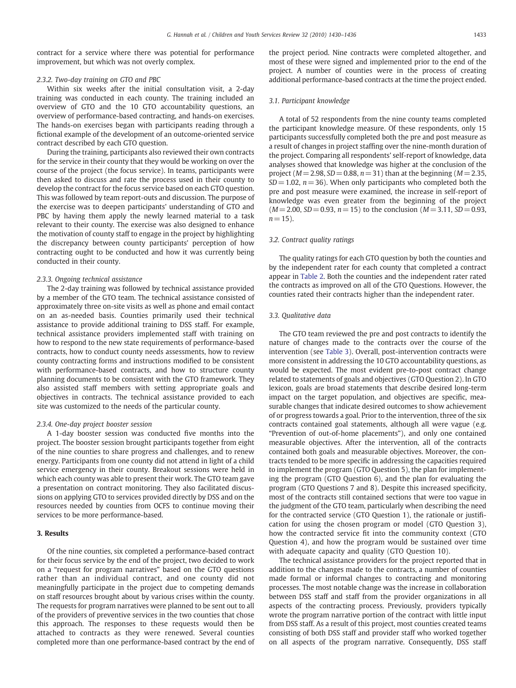<span id="page-3-0"></span>contract for a service where there was potential for performance improvement, but which was not overly complex.

#### 2.3.2. Two-day training on GTO and PBC

Within six weeks after the initial consultation visit, a 2-day training was conducted in each county. The training included an overview of GTO and the 10 GTO accountability questions, an overview of performance-based contracting, and hands-on exercises. The hands-on exercises began with participants reading through a fictional example of the development of an outcome-oriented service contract described by each GTO question.

During the training, participants also reviewed their own contracts for the service in their county that they would be working on over the course of the project (the focus service). In teams, participants were then asked to discuss and rate the process used in their county to develop the contract for the focus service based on each GTO question. This was followed by team report-outs and discussion. The purpose of the exercise was to deepen participants' understanding of GTO and PBC by having them apply the newly learned material to a task relevant to their county. The exercise was also designed to enhance the motivation of county staff to engage in the project by highlighting the discrepancy between county participants' perception of how contracting ought to be conducted and how it was currently being conducted in their county.

#### 2.3.3. Ongoing technical assistance

The 2-day training was followed by technical assistance provided by a member of the GTO team. The technical assistance consisted of approximately three on-site visits as well as phone and email contact on an as-needed basis. Counties primarily used their technical assistance to provide additional training to DSS staff. For example, technical assistance providers implemented staff with training on how to respond to the new state requirements of performance-based contracts, how to conduct county needs assessments, how to review county contracting forms and instructions modified to be consistent with performance-based contracts, and how to structure county planning documents to be consistent with the GTO framework. They also assisted staff members with setting appropriate goals and objectives in contracts. The technical assistance provided to each site was customized to the needs of the particular county.

#### 2.3.4. One-day project booster session

A 1-day booster session was conducted five months into the project. The booster session brought participants together from eight of the nine counties to share progress and challenges, and to renew energy. Participants from one county did not attend in light of a child service emergency in their county. Breakout sessions were held in which each county was able to present their work. The GTO team gave a presentation on contract monitoring. They also facilitated discussions on applying GTO to services provided directly by DSS and on the resources needed by counties from OCFS to continue moving their services to be more performance-based.

#### 3. Results

Of the nine counties, six completed a performance-based contract for their focus service by the end of the project, two decided to work on a "request for program narratives" based on the GTO questions rather than an individual contract, and one county did not meaningfully participate in the project due to competing demands on staff resources brought about by various crises within the county. The requests for program narratives were planned to be sent out to all of the providers of preventive services in the two counties that chose this approach. The responses to these requests would then be attached to contracts as they were renewed. Several counties completed more than one performance-based contract by the end of the project period. Nine contracts were completed altogether, and most of these were signed and implemented prior to the end of the project. A number of counties were in the process of creating additional performance-based contracts at the time the project ended.

#### 3.1. Participant knowledge

A total of 52 respondents from the nine county teams completed the participant knowledge measure. Of these respondents, only 15 participants successfully completed both the pre and post measure as a result of changes in project staffing over the nine-month duration of the project. Comparing all respondents' self-report of knowledge, data analyses showed that knowledge was higher at the conclusion of the project ( $M = 2.98$ ,  $SD = 0.88$ ,  $n = 31$ ) than at the beginning ( $M = 2.35$ ,  $SD = 1.02$ ,  $n = 36$ ). When only participants who completed both the pre and post measure were examined, the increase in self-report of knowledge was even greater from the beginning of the project  $(M= 2.00, SD = 0.93, n = 15)$  to the conclusion  $(M= 3.11, SD = 0.93,$  $n = 15$ ).

#### 3.2. Contract quality ratings

The quality ratings for each GTO question by both the counties and by the independent rater for each county that completed a contract appear in [Table 2.](#page-6-0) Both the counties and the independent rater rated the contracts as improved on all of the GTO Questions. However, the counties rated their contracts higher than the independent rater.

#### 3.3. Qualitative data

The GTO team reviewed the pre and post contracts to identify the nature of changes made to the contracts over the course of the intervention (see [Table 3\)](#page-6-0). Overall, post-intervention contracts were more consistent in addressing the 10 GTO accountability questions, as would be expected. The most evident pre-to-post contract change related to statements of goals and objectives (GTO Question 2). In GTO lexicon, goals are broad statements that describe desired long-term impact on the target population, and objectives are specific, measurable changes that indicate desired outcomes to show achievement of or progress towards a goal. Prior to the intervention, three of the six contracts contained goal statements, although all were vague (e.g. "Prevention of out-of-home placements"), and only one contained measurable objectives. After the intervention, all of the contracts contained both goals and measurable objectives. Moreover, the contracts tended to be more specific in addressing the capacities required to implement the program (GTO Question 5), the plan for implementing the program (GTO Question 6), and the plan for evaluating the program (GTO Questions 7 and 8). Despite this increased specificity, most of the contracts still contained sections that were too vague in the judgment of the GTO team, particularly when describing the need for the contracted service (GTO Question 1), the rationale or justification for using the chosen program or model (GTO Question 3), how the contracted service fit into the community context (GTO Question 4), and how the program would be sustained over time with adequate capacity and quality (GTO Question 10).

The technical assistance providers for the project reported that in addition to the changes made to the contracts, a number of counties made formal or informal changes to contracting and monitoring processes. The most notable change was the increase in collaboration between DSS staff and staff from the provider organizations in all aspects of the contracting process. Previously, providers typically wrote the program narrative portion of the contract with little input from DSS staff. As a result of this project, most counties created teams consisting of both DSS staff and provider staff who worked together on all aspects of the program narrative. Consequently, DSS staff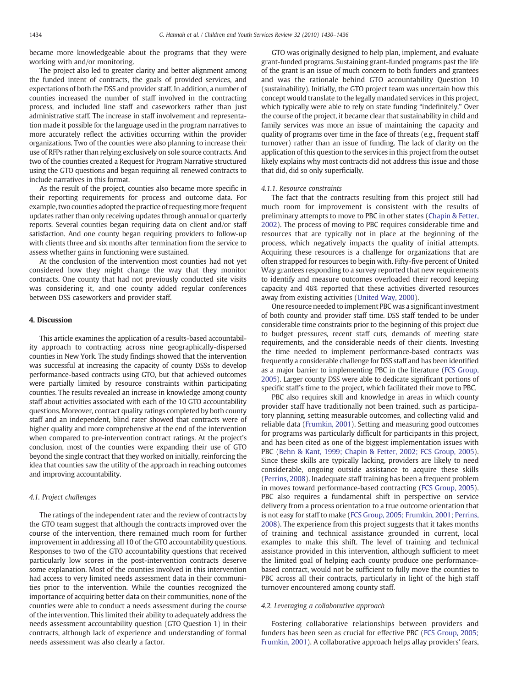became more knowledgeable about the programs that they were working with and/or monitoring.

The project also led to greater clarity and better alignment among the funded intent of contracts, the goals of provided services, and expectations of both the DSS and provider staff. In addition, a number of counties increased the number of staff involved in the contracting process, and included line staff and caseworkers rather than just administrative staff. The increase in staff involvement and representation made it possible for the language used in the program narratives to more accurately reflect the activities occurring within the provider organizations. Two of the counties were also planning to increase their use of RFPs rather than relying exclusively on sole source contracts. And two of the counties created a Request for Program Narrative structured using the GTO questions and began requiring all renewed contracts to include narratives in this format.

As the result of the project, counties also became more specific in their reporting requirements for process and outcome data. For example, two counties adopted the practice of requesting more frequent updates rather than only receiving updates through annual or quarterly reports. Several counties began requiring data on client and/or staff satisfaction. And one county began requiring providers to follow-up with clients three and six months after termination from the service to assess whether gains in functioning were sustained.

At the conclusion of the intervention most counties had not yet considered how they might change the way that they monitor contracts. One county that had not previously conducted site visits was considering it, and one county added regular conferences between DSS caseworkers and provider staff.

#### 4. Discussion

This article examines the application of a results-based accountability approach to contracting across nine geographically-dispersed counties in New York. The study findings showed that the intervention was successful at increasing the capacity of county DSSs to develop performance-based contracts using GTO, but that achieved outcomes were partially limited by resource constraints within participating counties. The results revealed an increase in knowledge among county staff about activities associated with each of the 10 GTO accountability questions. Moreover, contract quality ratings completed by both county staff and an independent, blind rater showed that contracts were of higher quality and more comprehensive at the end of the intervention when compared to pre-intervention contract ratings. At the project's conclusion, most of the counties were expanding their use of GTO beyond the single contract that they worked on initially, reinforcing the idea that counties saw the utility of the approach in reaching outcomes and improving accountability.

#### 4.1. Project challenges

The ratings of the independent rater and the review of contracts by the GTO team suggest that although the contracts improved over the course of the intervention, there remained much room for further improvement in addressing all 10 of the GTO accountability questions. Responses to two of the GTO accountability questions that received particularly low scores in the post-intervention contracts deserve some explanation. Most of the counties involved in this intervention had access to very limited needs assessment data in their communities prior to the intervention. While the counties recognized the importance of acquiring better data on their communities, none of the counties were able to conduct a needs assessment during the course of the intervention. This limited their ability to adequately address the needs assessment accountability question (GTO Question 1) in their contracts, although lack of experience and understanding of formal needs assessment was also clearly a factor.

GTO was originally designed to help plan, implement, and evaluate grant-funded programs. Sustaining grant-funded programs past the life of the grant is an issue of much concern to both funders and grantees and was the rationale behind GTO accountability Question 10 (sustainability). Initially, the GTO project team was uncertain how this concept would translate to the legally mandated services in this project, which typically were able to rely on state funding "indefinitely." Over the course of the project, it became clear that sustainability in child and family services was more an issue of maintaining the capacity and quality of programs over time in the face of threats (e.g., frequent staff turnover) rather than an issue of funding. The lack of clarity on the application of this question to the services in this project from the outset likely explains why most contracts did not address this issue and those that did, did so only superficially.

#### 4.1.1. Resource constraints

The fact that the contracts resulting from this project still had much room for improvement is consistent with the results of preliminary attempts to move to PBC in other states ([Chapin & Fetter,](#page-6-0) [2002\)](#page-6-0). The process of moving to PBC requires considerable time and resources that are typically not in place at the beginning of the process, which negatively impacts the quality of initial attempts. Acquiring these resources is a challenge for organizations that are often strapped for resources to begin with. Fifty-five percent of United Way grantees responding to a survey reported that new requirements to identify and measure outcomes overloaded their record keeping capacity and 46% reported that these activities diverted resources away from existing activities ([United Way, 2000\)](#page-6-0).

One resource needed to implement PBC was a significant investment of both county and provider staff time. DSS staff tended to be under considerable time constraints prior to the beginning of this project due to budget pressures, recent staff cuts, demands of meeting state requirements, and the considerable needs of their clients. Investing the time needed to implement performance-based contracts was frequently a considerable challenge for DSS staff and has been identified as a major barrier to implementing PBC in the literature [\(FCS Group,](#page-6-0) [2005\)](#page-6-0). Larger county DSS were able to dedicate significant portions of specific staff's time to the project, which facilitated their move to PBC.

PBC also requires skill and knowledge in areas in which county provider staff have traditionally not been trained, such as participatory planning, setting measurable outcomes, and collecting valid and reliable data ([Frumkin, 2001\)](#page-6-0). Setting and measuring good outcomes for programs was particularly difficult for participants in this project, and has been cited as one of the biggest implementation issues with PBC [\(Behn & Kant, 1999; Chapin & Fetter, 2002; FCS Group, 2005](#page-6-0)). Since these skills are typically lacking, providers are likely to need considerable, ongoing outside assistance to acquire these skills [\(Perrins, 2008\)](#page-6-0). Inadequate staff training has been a frequent problem in moves toward performance-based contracting ([FCS Group, 2005](#page-6-0)). PBC also requires a fundamental shift in perspective on service delivery from a process orientation to a true outcome orientation that is not easy for staff to make ([FCS Group, 2005; Frumkin, 2001; Perrins,](#page-6-0) [2008\)](#page-6-0). The experience from this project suggests that it takes months of training and technical assistance grounded in current, local examples to make this shift. The level of training and technical assistance provided in this intervention, although sufficient to meet the limited goal of helping each county produce one performancebased contract, would not be sufficient to fully move the counties to PBC across all their contracts, particularly in light of the high staff turnover encountered among county staff.

# 4.2. Leveraging a collaborative approach

Fostering collaborative relationships between providers and funders has been seen as crucial for effective PBC [\(FCS Group, 2005;](#page-6-0) [Frumkin, 2001\)](#page-6-0). A collaborative approach helps allay providers' fears,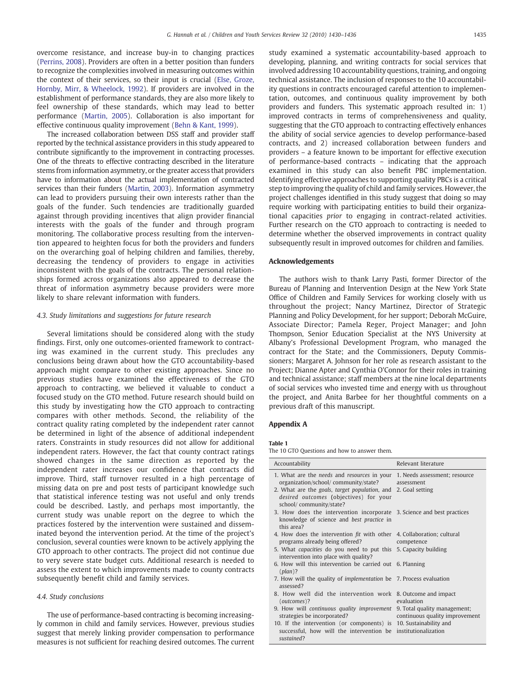<span id="page-5-0"></span>overcome resistance, and increase buy-in to changing practices [\(Perrins, 2008](#page-6-0)). Providers are often in a better position than funders to recognize the complexities involved in measuring outcomes within the context of their services, so their input is crucial ([Else, Groze,](#page-6-0) [Hornby, Mirr, & Wheelock, 1992\)](#page-6-0). If providers are involved in the establishment of performance standards, they are also more likely to feel ownership of these standards, which may lead to better performance ([Martin, 2005](#page-6-0)). Collaboration is also important for effective continuous quality improvement ([Behn & Kant, 1999\)](#page-6-0).

The increased collaboration between DSS staff and provider staff reported by the technical assistance providers in this study appeared to contribute significantly to the improvement in contracting processes. One of the threats to effective contracting described in the literature stems from information asymmetry, or the greater access that providers have to information about the actual implementation of contracted services than their funders ([Martin, 2003\)](#page-6-0). Information asymmetry can lead to providers pursuing their own interests rather than the goals of the funder. Such tendencies are traditionally guarded against through providing incentives that align provider financial interests with the goals of the funder and through program monitoring. The collaborative process resulting from the intervention appeared to heighten focus for both the providers and funders on the overarching goal of helping children and families, thereby, decreasing the tendency of providers to engage in activities inconsistent with the goals of the contracts. The personal relationships formed across organizations also appeared to decrease the threat of information asymmetry because providers were more likely to share relevant information with funders.

#### 4.3. Study limitations and suggestions for future research

Several limitations should be considered along with the study findings. First, only one outcomes-oriented framework to contracting was examined in the current study. This precludes any conclusions being drawn about how the GTO accountability-based approach might compare to other existing approaches. Since no previous studies have examined the effectiveness of the GTO approach to contracting, we believed it valuable to conduct a focused study on the GTO method. Future research should build on this study by investigating how the GTO approach to contracting compares with other methods. Second, the reliability of the contract quality rating completed by the independent rater cannot be determined in light of the absence of additional independent raters. Constraints in study resources did not allow for additional independent raters. However, the fact that county contract ratings showed changes in the same direction as reported by the independent rater increases our confidence that contracts did improve. Third, staff turnover resulted in a high percentage of missing data on pre and post tests of participant knowledge such that statistical inference testing was not useful and only trends could be described. Lastly, and perhaps most importantly, the current study was unable report on the degree to which the practices fostered by the intervention were sustained and disseminated beyond the intervention period. At the time of the project's conclusion, several counties were known to be actively applying the GTO approach to other contracts. The project did not continue due to very severe state budget cuts. Additional research is needed to assess the extent to which improvements made to county contracts subsequently benefit child and family services.

# 4.4. Study conclusions

The use of performance-based contracting is becoming increasingly common in child and family services. However, previous studies suggest that merely linking provider compensation to performance measures is not sufficient for reaching desired outcomes. The current study examined a systematic accountability-based approach to developing, planning, and writing contracts for social services that involved addressing 10 accountability questions, training, and ongoing technical assistance. The inclusion of responses to the 10 accountability questions in contracts encouraged careful attention to implementation, outcomes, and continuous quality improvement by both providers and funders. This systematic approach resulted in: 1) improved contracts in terms of comprehensiveness and quality, suggesting that the GTO approach to contracting effectively enhances the ability of social service agencies to develop performance-based contracts, and 2) increased collaboration between funders and providers – a feature known to be important for effective execution of performance-based contracts – indicating that the approach examined in this study can also benefit PBC implementation. Identifying effective approaches to supporting quality PBCs is a critical step to improving the quality of child and family services. However, the project challenges identified in this study suggest that doing so may require working with participating entities to build their organizational capacities prior to engaging in contract-related activities. Further research on the GTO approach to contracting is needed to determine whether the observed improvements in contract quality subsequently result in improved outcomes for children and families.

#### Acknowledgements

The authors wish to thank Larry Pasti, former Director of the Bureau of Planning and Intervention Design at the New York State Office of Children and Family Services for working closely with us throughout the project; Nancy Martinez, Director of Strategic Planning and Policy Development, for her support; Deborah McGuire, Associate Director; Pamela Reger, Project Manager; and John Thompson, Senior Education Specialist at the NYS University at Albany's Professional Development Program, who managed the contract for the State; and the Commissioners, Deputy Commissioners; Margaret A. Johnson for her role as research assistant to the Project; Dianne Apter and Cynthia O'Connor for their roles in training and technical assistance; staff members at the nine local departments of social services who invested time and energy with us throughout the project, and Anita Barbee for her thoughtful comments on a previous draft of this manuscript.

#### Appendix A

#### Table 1

The 10 GTO Questions and how to answer them.

| Accountability                                                                                                                                                                                                                                 | Relevant literature                                            |
|------------------------------------------------------------------------------------------------------------------------------------------------------------------------------------------------------------------------------------------------|----------------------------------------------------------------|
| 1. What are the <i>needs</i> and <i>resources</i> in your<br>organization/school/community/state?<br>2. What are the goals, target population, and 2. Goal setting<br><i>desired outcomes</i> (objectives) for your<br>school/community/state? | 1. Needs assessment; resource<br>assessment                    |
| 3. How does the intervention incorporate 3. Science and best practices<br>knowledge of science and best practice in<br>this area?                                                                                                              |                                                                |
| 4. How does the intervention fit with other 4. Collaboration; cultural<br>programs already being offered?                                                                                                                                      | competence                                                     |
| 5. What <i>capacities</i> do you need to put this<br>intervention into place with quality?                                                                                                                                                     | 5. Capacity building                                           |
| 6. How will this intervention be carried out 6. Planning<br>(plan)?                                                                                                                                                                            |                                                                |
| 7. How will the quality of <i>implementation</i> be 7. Process evaluation<br>assessed?                                                                                                                                                         |                                                                |
| 8. How well did the intervention work 8. Outcome and impact<br>(outcomes)?                                                                                                                                                                     | evaluation                                                     |
| 9. How will continuous quality improvement<br>strategies be incorporated?                                                                                                                                                                      | 9. Total quality management;<br>continuous quality improvement |
| 10. If the intervention (or components) is 10. Sustainability and                                                                                                                                                                              |                                                                |
| successful, how will the intervention be institutionalization<br>sustained?                                                                                                                                                                    |                                                                |